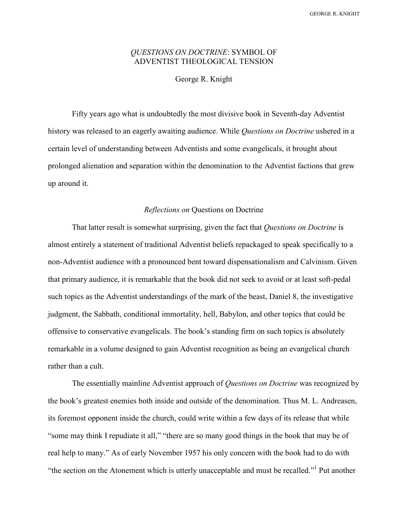GEORGE R. KNIGHT

# QUESTIONS ON DOCTRINE: SYMBOL OF ADVENTIST THEOLOGICAL TENSION

George R. Knight

 Fifty years ago what is undoubtedly the most divisive book in Seventh-day Adventist history was released to an eagerly awaiting audience. While Questions on Doctrine ushered in a certain level of understanding between Adventists and some evangelicals, it brought about prolonged alienation and separation within the denomination to the Adventist factions that grew up around it.

### Reflections on Questions on Doctrine

That latter result is somewhat surprising, given the fact that Questions on Doctrine is almost entirely a statement of traditional Adventist beliefs repackaged to speak specifically to a non-Adventist audience with a pronounced bent toward dispensationalism and Calvinism. Given that primary audience, it is remarkable that the book did not seek to avoid or at least soft-pedal such topics as the Adventist understandings of the mark of the beast, Daniel 8, the investigative judgment, the Sabbath, conditional immortality, hell, Babylon, and other topics that could be offensive to conservative evangelicals. The book's standing firm on such topics is absolutely remarkable in a volume designed to gain Adventist recognition as being an evangelical church rather than a cult.

The essentially mainline Adventist approach of *Questions on Doctrine* was recognized by the book's greatest enemies both inside and outside of the denomination. Thus M. L. Andreasen, its foremost opponent inside the church, could write within a few days of its release that while "some may think I repudiate it all," "there are so many good things in the book that may be of real help to many." As of early November 1957 his only concern with the book had to do with "the section on the Atonement which is utterly unacceptable and must be recalled."<sup>1</sup> Put another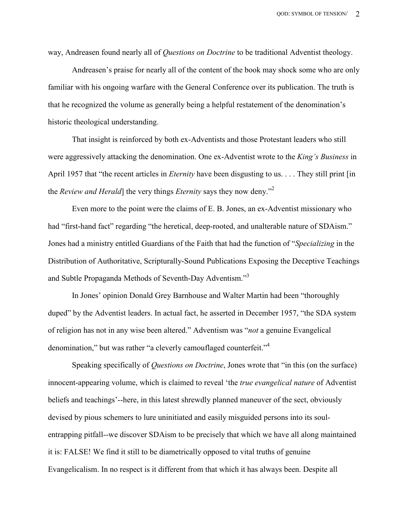way, Andreasen found nearly all of *Questions on Doctrine* to be traditional Adventist theology.

 Andreasen's praise for nearly all of the content of the book may shock some who are only familiar with his ongoing warfare with the General Conference over its publication. The truth is that he recognized the volume as generally being a helpful restatement of the denomination's historic theological understanding.

 That insight is reinforced by both ex-Adventists and those Protestant leaders who still were aggressively attacking the denomination. One ex-Adventist wrote to the *King's Business* in April 1957 that "the recent articles in *Eternity* have been disgusting to us. . . . They still print [in] the Review and Herald] the very things *Eternity* says they now deny.<sup>"2</sup>

 Even more to the point were the claims of E. B. Jones, an ex-Adventist missionary who had "first-hand fact" regarding "the heretical, deep-rooted, and unalterable nature of SDAism." Jones had a ministry entitled Guardians of the Faith that had the function of "Specializing in the Distribution of Authoritative, Scripturally-Sound Publications Exposing the Deceptive Teachings and Subtle Propaganda Methods of Seventh-Day Adventism."<sup>3</sup>

 In Jones' opinion Donald Grey Barnhouse and Walter Martin had been "thoroughly duped" by the Adventist leaders. In actual fact, he asserted in December 1957, "the SDA system of religion has not in any wise been altered." Adventism was "not a genuine Evangelical denomination," but was rather "a cleverly camouflaged counterfeit."<sup>4</sup>

Speaking specifically of *Questions on Doctrine*, Jones wrote that "in this (on the surface) innocent-appearing volume, which is claimed to reveal 'the true evangelical nature of Adventist beliefs and teachings'--here, in this latest shrewdly planned maneuver of the sect, obviously devised by pious schemers to lure uninitiated and easily misguided persons into its soulentrapping pitfall--we discover SDAism to be precisely that which we have all along maintained it is: FALSE! We find it still to be diametrically opposed to vital truths of genuine Evangelicalism. In no respect is it different from that which it has always been. Despite all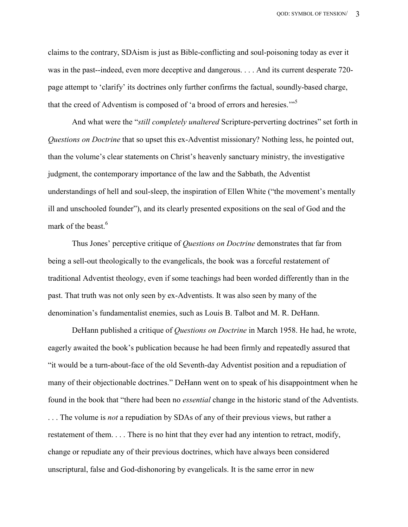claims to the contrary, SDAism is just as Bible-conflicting and soul-poisoning today as ever it was in the past--indeed, even more deceptive and dangerous. . . . And its current desperate 720 page attempt to 'clarify' its doctrines only further confirms the factual, soundly-based charge, that the creed of Adventism is composed of 'a brood of errors and heresies."<sup>5</sup>

And what were the "*still completely unaltered* Scripture-perverting doctrines" set forth in Questions on Doctrine that so upset this ex-Adventist missionary? Nothing less, he pointed out, than the volume's clear statements on Christ's heavenly sanctuary ministry, the investigative judgment, the contemporary importance of the law and the Sabbath, the Adventist understandings of hell and soul-sleep, the inspiration of Ellen White ("the movement's mentally ill and unschooled founder"), and its clearly presented expositions on the seal of God and the mark of the beast.<sup>6</sup>

Thus Jones' perceptive critique of *Questions on Doctrine* demonstrates that far from being a sell-out theologically to the evangelicals, the book was a forceful restatement of traditional Adventist theology, even if some teachings had been worded differently than in the past. That truth was not only seen by ex-Adventists. It was also seen by many of the denomination's fundamentalist enemies, such as Louis B. Talbot and M. R. DeHann.

 DeHann published a critique of Questions on Doctrine in March 1958. He had, he wrote, eagerly awaited the book's publication because he had been firmly and repeatedly assured that "it would be a turn-about-face of the old Seventh-day Adventist position and a repudiation of many of their objectionable doctrines." DeHann went on to speak of his disappointment when he found in the book that "there had been no essential change in the historic stand of the Adventists. ... The volume is *not* a repudiation by SDAs of any of their previous views, but rather a restatement of them. . . . There is no hint that they ever had any intention to retract, modify, change or repudiate any of their previous doctrines, which have always been considered unscriptural, false and God-dishonoring by evangelicals. It is the same error in new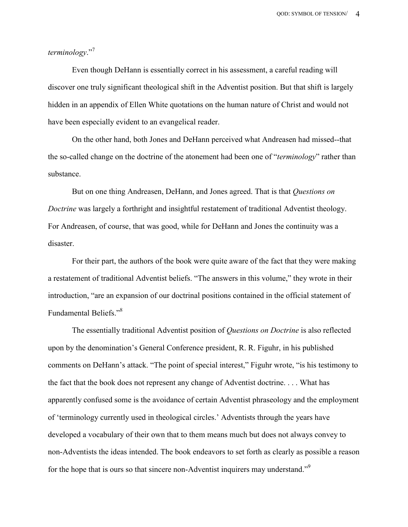## terminology<sup>"7</sup>

 Even though DeHann is essentially correct in his assessment, a careful reading will discover one truly significant theological shift in the Adventist position. But that shift is largely hidden in an appendix of Ellen White quotations on the human nature of Christ and would not have been especially evident to an evangelical reader.

 On the other hand, both Jones and DeHann perceived what Andreasen had missed--that the so-called change on the doctrine of the atonement had been one of "*terminology*" rather than substance.

But on one thing Andreasen, DeHann, and Jones agreed. That is that *Questions on* Doctrine was largely a forthright and insightful restatement of traditional Adventist theology. For Andreasen, of course, that was good, while for DeHann and Jones the continuity was a disaster.

 For their part, the authors of the book were quite aware of the fact that they were making a restatement of traditional Adventist beliefs. "The answers in this volume," they wrote in their introduction, "are an expansion of our doctrinal positions contained in the official statement of Fundamental Beliefs."<sup>8</sup>

The essentially traditional Adventist position of Questions on Doctrine is also reflected upon by the denomination's General Conference president, R. R. Figuhr, in his published comments on DeHann's attack. "The point of special interest," Figuhr wrote, "is his testimony to the fact that the book does not represent any change of Adventist doctrine. . . . What has apparently confused some is the avoidance of certain Adventist phraseology and the employment of 'terminology currently used in theological circles.' Adventists through the years have developed a vocabulary of their own that to them means much but does not always convey to non-Adventists the ideas intended. The book endeavors to set forth as clearly as possible a reason for the hope that is ours so that sincere non-Adventist inquirers may understand."<sup>9</sup>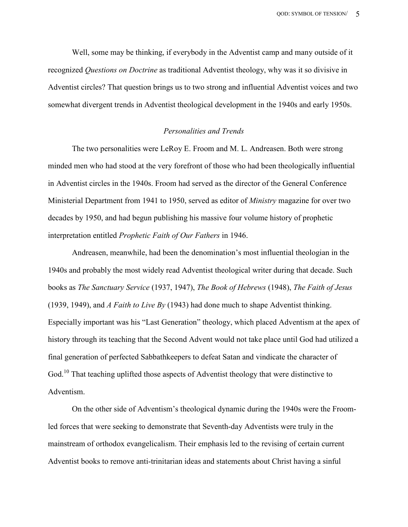Well, some may be thinking, if everybody in the Adventist camp and many outside of it recognized Questions on Doctrine as traditional Adventist theology, why was it so divisive in Adventist circles? That question brings us to two strong and influential Adventist voices and two somewhat divergent trends in Adventist theological development in the 1940s and early 1950s.

#### Personalities and Trends

 The two personalities were LeRoy E. Froom and M. L. Andreasen. Both were strong minded men who had stood at the very forefront of those who had been theologically influential in Adventist circles in the 1940s. Froom had served as the director of the General Conference Ministerial Department from 1941 to 1950, served as editor of Ministry magazine for over two decades by 1950, and had begun publishing his massive four volume history of prophetic interpretation entitled Prophetic Faith of Our Fathers in 1946.

 Andreasen, meanwhile, had been the denomination's most influential theologian in the 1940s and probably the most widely read Adventist theological writer during that decade. Such books as The Sanctuary Service (1937, 1947), The Book of Hebrews (1948), The Faith of Jesus (1939, 1949), and A Faith to Live By (1943) had done much to shape Adventist thinking. Especially important was his "Last Generation" theology, which placed Adventism at the apex of history through its teaching that the Second Advent would not take place until God had utilized a final generation of perfected Sabbathkeepers to defeat Satan and vindicate the character of God.<sup>10</sup> That teaching uplifted those aspects of Adventist theology that were distinctive to Adventism.

 On the other side of Adventism's theological dynamic during the 1940s were the Froomled forces that were seeking to demonstrate that Seventh-day Adventists were truly in the mainstream of orthodox evangelicalism. Their emphasis led to the revising of certain current Adventist books to remove anti-trinitarian ideas and statements about Christ having a sinful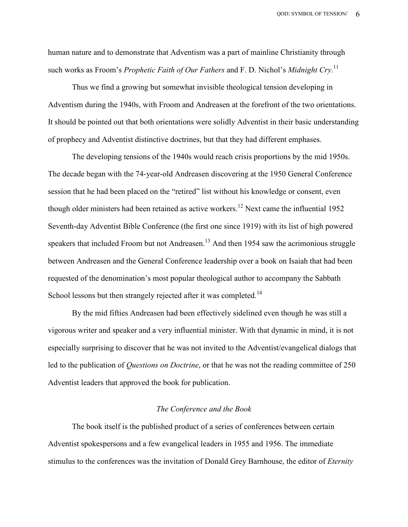human nature and to demonstrate that Adventism was a part of mainline Christianity through such works as Froom's *Prophetic Faith of Our Fathers* and F. D. Nichol's *Midnight Cry*.<sup>11</sup>

 Thus we find a growing but somewhat invisible theological tension developing in Adventism during the 1940s, with Froom and Andreasen at the forefront of the two orientations. It should be pointed out that both orientations were solidly Adventist in their basic understanding of prophecy and Adventist distinctive doctrines, but that they had different emphases.

 The developing tensions of the 1940s would reach crisis proportions by the mid 1950s. The decade began with the 74-year-old Andreasen discovering at the 1950 General Conference session that he had been placed on the "retired" list without his knowledge or consent, even though older ministers had been retained as active workers.<sup>12</sup> Next came the influential 1952 Seventh-day Adventist Bible Conference (the first one since 1919) with its list of high powered speakers that included Froom but not Andreasen.<sup>13</sup> And then 1954 saw the acrimonious struggle between Andreasen and the General Conference leadership over a book on Isaiah that had been requested of the denomination's most popular theological author to accompany the Sabbath School lessons but then strangely rejected after it was completed.<sup>14</sup>

 By the mid fifties Andreasen had been effectively sidelined even though he was still a vigorous writer and speaker and a very influential minister. With that dynamic in mind, it is not especially surprising to discover that he was not invited to the Adventist/evangelical dialogs that led to the publication of Questions on Doctrine, or that he was not the reading committee of 250 Adventist leaders that approved the book for publication.

#### The Conference and the Book

 The book itself is the published product of a series of conferences between certain Adventist spokespersons and a few evangelical leaders in 1955 and 1956. The immediate stimulus to the conferences was the invitation of Donald Grey Barnhouse, the editor of *Eternity*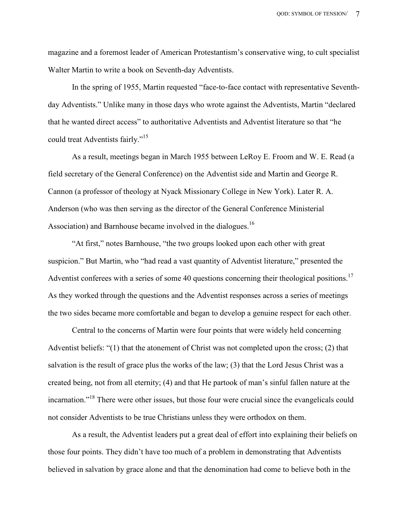magazine and a foremost leader of American Protestantism's conservative wing, to cult specialist Walter Martin to write a book on Seventh-day Adventists.

 In the spring of 1955, Martin requested "face-to-face contact with representative Seventhday Adventists." Unlike many in those days who wrote against the Adventists, Martin "declared that he wanted direct access" to authoritative Adventists and Adventist literature so that "he could treat Adventists fairly."<sup>15</sup>

 As a result, meetings began in March 1955 between LeRoy E. Froom and W. E. Read (a field secretary of the General Conference) on the Adventist side and Martin and George R. Cannon (a professor of theology at Nyack Missionary College in New York). Later R. A. Anderson (who was then serving as the director of the General Conference Ministerial Association) and Barnhouse became involved in the dialogues.<sup>16</sup>

 "At first," notes Barnhouse, "the two groups looked upon each other with great suspicion." But Martin, who "had read a vast quantity of Adventist literature," presented the Adventist conferees with a series of some 40 questions concerning their theological positions.<sup>17</sup> As they worked through the questions and the Adventist responses across a series of meetings the two sides became more comfortable and began to develop a genuine respect for each other.

 Central to the concerns of Martin were four points that were widely held concerning Adventist beliefs: "(1) that the atonement of Christ was not completed upon the cross; (2) that salvation is the result of grace plus the works of the law; (3) that the Lord Jesus Christ was a created being, not from all eternity; (4) and that He partook of man's sinful fallen nature at the incarnation."<sup>18</sup> There were other issues, but those four were crucial since the evangelicals could not consider Adventists to be true Christians unless they were orthodox on them.

 As a result, the Adventist leaders put a great deal of effort into explaining their beliefs on those four points. They didn't have too much of a problem in demonstrating that Adventists believed in salvation by grace alone and that the denomination had come to believe both in the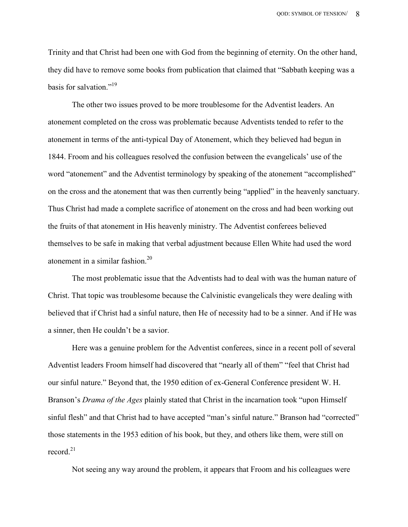Trinity and that Christ had been one with God from the beginning of eternity. On the other hand, they did have to remove some books from publication that claimed that "Sabbath keeping was a basis for salvation."<sup>19</sup>

 The other two issues proved to be more troublesome for the Adventist leaders. An atonement completed on the cross was problematic because Adventists tended to refer to the atonement in terms of the anti-typical Day of Atonement, which they believed had begun in 1844. Froom and his colleagues resolved the confusion between the evangelicals' use of the word "atonement" and the Adventist terminology by speaking of the atonement "accomplished" on the cross and the atonement that was then currently being "applied" in the heavenly sanctuary. Thus Christ had made a complete sacrifice of atonement on the cross and had been working out the fruits of that atonement in His heavenly ministry. The Adventist conferees believed themselves to be safe in making that verbal adjustment because Ellen White had used the word atonement in a similar fashion.<sup>20</sup>

 The most problematic issue that the Adventists had to deal with was the human nature of Christ. That topic was troublesome because the Calvinistic evangelicals they were dealing with believed that if Christ had a sinful nature, then He of necessity had to be a sinner. And if He was a sinner, then He couldn't be a savior.

 Here was a genuine problem for the Adventist conferees, since in a recent poll of several Adventist leaders Froom himself had discovered that "nearly all of them" "feel that Christ had our sinful nature." Beyond that, the 1950 edition of ex-General Conference president W. H. Branson's *Drama of the Ages* plainly stated that Christ in the incarnation took "upon Himself" sinful flesh" and that Christ had to have accepted "man's sinful nature." Branson had "corrected" those statements in the 1953 edition of his book, but they, and others like them, were still on record $^{21}$ 

Not seeing any way around the problem, it appears that Froom and his colleagues were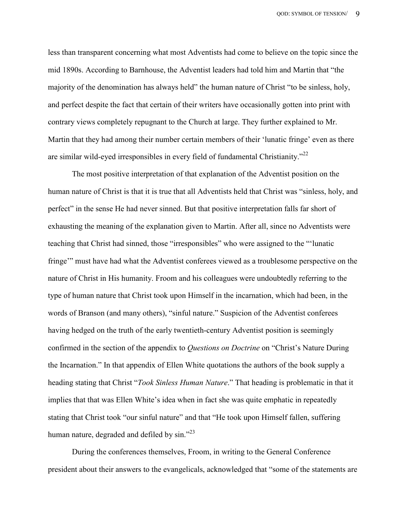less than transparent concerning what most Adventists had come to believe on the topic since the mid 1890s. According to Barnhouse, the Adventist leaders had told him and Martin that "the majority of the denomination has always held" the human nature of Christ "to be sinless, holy, and perfect despite the fact that certain of their writers have occasionally gotten into print with contrary views completely repugnant to the Church at large. They further explained to Mr. Martin that they had among their number certain members of their 'lunatic fringe' even as there are similar wild-eyed irresponsibles in every field of fundamental Christianity.<sup>"22</sup>

 The most positive interpretation of that explanation of the Adventist position on the human nature of Christ is that it is true that all Adventists held that Christ was "sinless, holy, and perfect" in the sense He had never sinned. But that positive interpretation falls far short of exhausting the meaning of the explanation given to Martin. After all, since no Adventists were teaching that Christ had sinned, those "irresponsibles" who were assigned to the "'lunatic fringe'" must have had what the Adventist conferees viewed as a troublesome perspective on the nature of Christ in His humanity. Froom and his colleagues were undoubtedly referring to the type of human nature that Christ took upon Himself in the incarnation, which had been, in the words of Branson (and many others), "sinful nature." Suspicion of the Adventist conferees having hedged on the truth of the early twentieth-century Adventist position is seemingly confirmed in the section of the appendix to *Questions on Doctrine* on "Christ's Nature During the Incarnation." In that appendix of Ellen White quotations the authors of the book supply a heading stating that Christ "Took Sinless Human Nature." That heading is problematic in that it implies that that was Ellen White's idea when in fact she was quite emphatic in repeatedly stating that Christ took "our sinful nature" and that "He took upon Himself fallen, suffering human nature, degraded and defiled by sin."<sup>23</sup>

 During the conferences themselves, Froom, in writing to the General Conference president about their answers to the evangelicals, acknowledged that "some of the statements are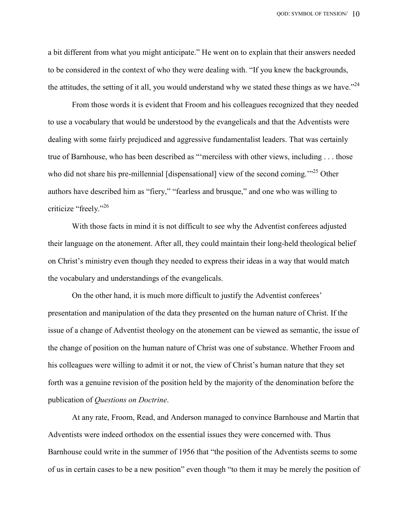a bit different from what you might anticipate." He went on to explain that their answers needed to be considered in the context of who they were dealing with. "If you knew the backgrounds, the attitudes, the setting of it all, you would understand why we stated these things as we have.<sup> $24$ </sup>

 From those words it is evident that Froom and his colleagues recognized that they needed to use a vocabulary that would be understood by the evangelicals and that the Adventists were dealing with some fairly prejudiced and aggressive fundamentalist leaders. That was certainly true of Barnhouse, who has been described as "'merciless with other views, including . . . those who did not share his pre-millennial [dispensational] view of the second coming.<sup>"25</sup> Other authors have described him as "fiery," "fearless and brusque," and one who was willing to criticize "freely."<sup>26</sup>

 With those facts in mind it is not difficult to see why the Adventist conferees adjusted their language on the atonement. After all, they could maintain their long-held theological belief on Christ's ministry even though they needed to express their ideas in a way that would match the vocabulary and understandings of the evangelicals.

 On the other hand, it is much more difficult to justify the Adventist conferees' presentation and manipulation of the data they presented on the human nature of Christ. If the issue of a change of Adventist theology on the atonement can be viewed as semantic, the issue of the change of position on the human nature of Christ was one of substance. Whether Froom and his colleagues were willing to admit it or not, the view of Christ's human nature that they set forth was a genuine revision of the position held by the majority of the denomination before the publication of Questions on Doctrine.

 At any rate, Froom, Read, and Anderson managed to convince Barnhouse and Martin that Adventists were indeed orthodox on the essential issues they were concerned with. Thus Barnhouse could write in the summer of 1956 that "the position of the Adventists seems to some of us in certain cases to be a new position" even though "to them it may be merely the position of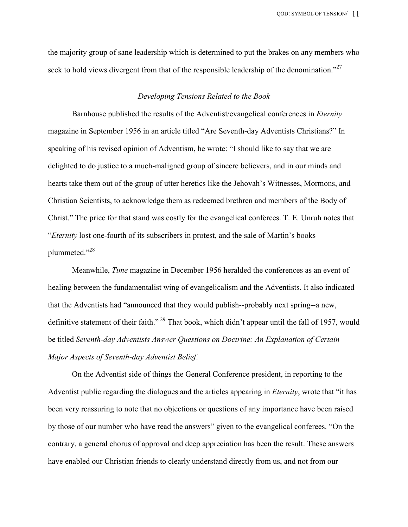the majority group of sane leadership which is determined to put the brakes on any members who seek to hold views divergent from that of the responsible leadership of the denomination."<sup>27</sup>

#### Developing Tensions Related to the Book

 Barnhouse published the results of the Adventist/evangelical conferences in Eternity magazine in September 1956 in an article titled "Are Seventh-day Adventists Christians?" In speaking of his revised opinion of Adventism, he wrote: "I should like to say that we are delighted to do justice to a much-maligned group of sincere believers, and in our minds and hearts take them out of the group of utter heretics like the Jehovah's Witnesses, Mormons, and Christian Scientists, to acknowledge them as redeemed brethren and members of the Body of Christ." The price for that stand was costly for the evangelical conferees. T. E. Unruh notes that "Eternity lost one-fourth of its subscribers in protest, and the sale of Martin's books plummeted."<sup>28</sup>

 Meanwhile, Time magazine in December 1956 heralded the conferences as an event of healing between the fundamentalist wing of evangelicalism and the Adventists. It also indicated that the Adventists had "announced that they would publish--probably next spring--a new, definitive statement of their faith."<sup>29</sup> That book, which didn't appear until the fall of 1957, would be titled Seventh-day Adventists Answer Questions on Doctrine: An Explanation of Certain Major Aspects of Seventh-day Adventist Belief.

 On the Adventist side of things the General Conference president, in reporting to the Adventist public regarding the dialogues and the articles appearing in Eternity, wrote that "it has been very reassuring to note that no objections or questions of any importance have been raised by those of our number who have read the answers" given to the evangelical conferees. "On the contrary, a general chorus of approval and deep appreciation has been the result. These answers have enabled our Christian friends to clearly understand directly from us, and not from our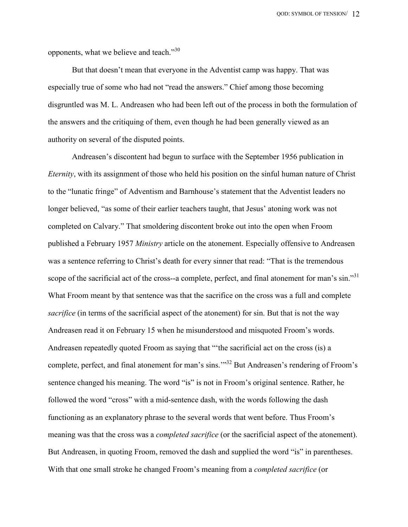opponents, what we believe and teach. $^{330}$ 

 But that doesn't mean that everyone in the Adventist camp was happy. That was especially true of some who had not "read the answers." Chief among those becoming disgruntled was M. L. Andreasen who had been left out of the process in both the formulation of the answers and the critiquing of them, even though he had been generally viewed as an authority on several of the disputed points.

 Andreasen's discontent had begun to surface with the September 1956 publication in Eternity, with its assignment of those who held his position on the sinful human nature of Christ to the "lunatic fringe" of Adventism and Barnhouse's statement that the Adventist leaders no longer believed, "as some of their earlier teachers taught, that Jesus' atoning work was not completed on Calvary." That smoldering discontent broke out into the open when Froom published a February 1957 Ministry article on the atonement. Especially offensive to Andreasen was a sentence referring to Christ's death for every sinner that read: "That is the tremendous scope of the sacrificial act of the cross--a complete, perfect, and final atonement for man's sin."<sup>31</sup> What Froom meant by that sentence was that the sacrifice on the cross was a full and complete sacrifice (in terms of the sacrificial aspect of the atonement) for sin. But that is not the way Andreasen read it on February 15 when he misunderstood and misquoted Froom's words. Andreasen repeatedly quoted Froom as saying that "'the sacrificial act on the cross (is) a complete, perfect, and final atonement for man's sins.'"<sup>32</sup> But Andreasen's rendering of Froom's sentence changed his meaning. The word "is" is not in Froom's original sentence. Rather, he followed the word "cross" with a mid-sentence dash, with the words following the dash functioning as an explanatory phrase to the several words that went before. Thus Froom's meaning was that the cross was a *completed sacrifice* (or the sacrificial aspect of the atonement). But Andreasen, in quoting Froom, removed the dash and supplied the word "is" in parentheses. With that one small stroke he changed Froom's meaning from a *completed sacrifice* (or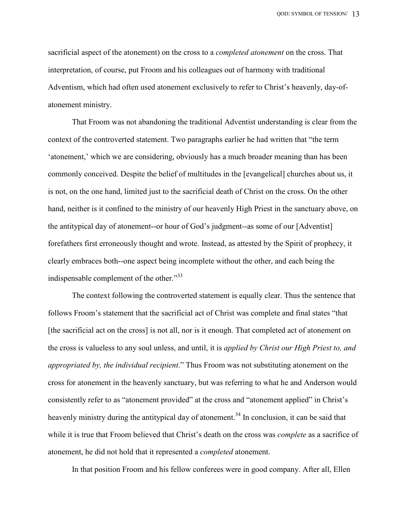sacrificial aspect of the atonement) on the cross to a *completed atonement* on the cross. That interpretation, of course, put Froom and his colleagues out of harmony with traditional Adventism, which had often used atonement exclusively to refer to Christ's heavenly, day-ofatonement ministry.

 That Froom was not abandoning the traditional Adventist understanding is clear from the context of the controverted statement. Two paragraphs earlier he had written that "the term 'atonement,' which we are considering, obviously has a much broader meaning than has been commonly conceived. Despite the belief of multitudes in the [evangelical] churches about us, it is not, on the one hand, limited just to the sacrificial death of Christ on the cross. On the other hand, neither is it confined to the ministry of our heavenly High Priest in the sanctuary above, on the antitypical day of atonement--or hour of God's judgment--as some of our [Adventist] forefathers first erroneously thought and wrote. Instead, as attested by the Spirit of prophecy, it clearly embraces both--one aspect being incomplete without the other, and each being the indispensable complement of the other."<sup>33</sup>

 The context following the controverted statement is equally clear. Thus the sentence that follows Froom's statement that the sacrificial act of Christ was complete and final states "that [the sacrificial act on the cross] is not all, nor is it enough. That completed act of atonement on the cross is valueless to any soul unless, and until, it is *applied by Christ our High Priest to, and* appropriated by, the individual recipient." Thus Froom was not substituting atonement on the cross for atonement in the heavenly sanctuary, but was referring to what he and Anderson would consistently refer to as "atonement provided" at the cross and "atonement applied" in Christ's heavenly ministry during the antitypical day of atonement.<sup>34</sup> In conclusion, it can be said that while it is true that Froom believed that Christ's death on the cross was *complete* as a sacrifice of atonement, he did not hold that it represented a completed atonement.

In that position Froom and his fellow conferees were in good company. After all, Ellen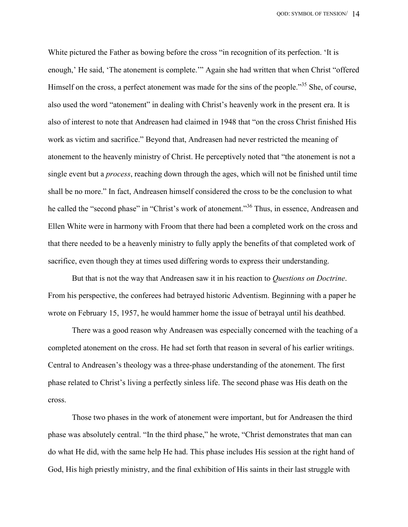White pictured the Father as bowing before the cross "in recognition of its perfection. 'It is enough,' He said, 'The atonement is complete.'" Again she had written that when Christ "offered Himself on the cross, a perfect atonement was made for the sins of the people.<sup>355</sup> She, of course, also used the word "atonement" in dealing with Christ's heavenly work in the present era. It is also of interest to note that Andreasen had claimed in 1948 that "on the cross Christ finished His work as victim and sacrifice." Beyond that, Andreasen had never restricted the meaning of atonement to the heavenly ministry of Christ. He perceptively noted that "the atonement is not a single event but a process, reaching down through the ages, which will not be finished until time shall be no more." In fact, Andreasen himself considered the cross to be the conclusion to what he called the "second phase" in "Christ's work of atonement."<sup>36</sup> Thus, in essence, Andreasen and Ellen White were in harmony with Froom that there had been a completed work on the cross and that there needed to be a heavenly ministry to fully apply the benefits of that completed work of sacrifice, even though they at times used differing words to express their understanding.

But that is not the way that Andreasen saw it in his reaction to *Questions on Doctrine*. From his perspective, the conferees had betrayed historic Adventism. Beginning with a paper he wrote on February 15, 1957, he would hammer home the issue of betrayal until his deathbed.

 There was a good reason why Andreasen was especially concerned with the teaching of a completed atonement on the cross. He had set forth that reason in several of his earlier writings. Central to Andreasen's theology was a three-phase understanding of the atonement. The first phase related to Christ's living a perfectly sinless life. The second phase was His death on the cross.

 Those two phases in the work of atonement were important, but for Andreasen the third phase was absolutely central. "In the third phase," he wrote, "Christ demonstrates that man can do what He did, with the same help He had. This phase includes His session at the right hand of God, His high priestly ministry, and the final exhibition of His saints in their last struggle with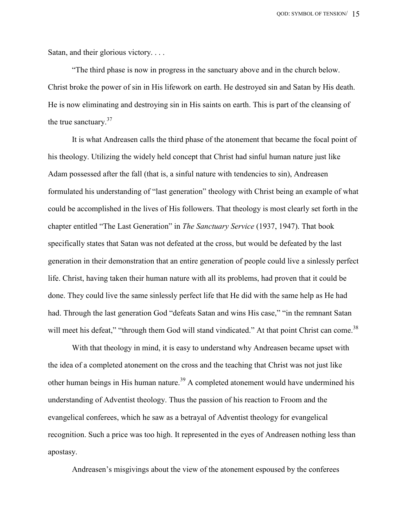Satan, and their glorious victory. . . .

 "The third phase is now in progress in the sanctuary above and in the church below. Christ broke the power of sin in His lifework on earth. He destroyed sin and Satan by His death. He is now eliminating and destroying sin in His saints on earth. This is part of the cleansing of the true sanctuary.<sup>37</sup>

 It is what Andreasen calls the third phase of the atonement that became the focal point of his theology. Utilizing the widely held concept that Christ had sinful human nature just like Adam possessed after the fall (that is, a sinful nature with tendencies to sin), Andreasen formulated his understanding of "last generation" theology with Christ being an example of what could be accomplished in the lives of His followers. That theology is most clearly set forth in the chapter entitled "The Last Generation" in The Sanctuary Service (1937, 1947). That book specifically states that Satan was not defeated at the cross, but would be defeated by the last generation in their demonstration that an entire generation of people could live a sinlessly perfect life. Christ, having taken their human nature with all its problems, had proven that it could be done. They could live the same sinlessly perfect life that He did with the same help as He had had. Through the last generation God "defeats Satan and wins His case," "in the remnant Satan will meet his defeat," "through them God will stand vindicated." At that point Christ can come.<sup>38</sup>

 With that theology in mind, it is easy to understand why Andreasen became upset with the idea of a completed atonement on the cross and the teaching that Christ was not just like other human beings in His human nature.<sup>39</sup> A completed atonement would have undermined his understanding of Adventist theology. Thus the passion of his reaction to Froom and the evangelical conferees, which he saw as a betrayal of Adventist theology for evangelical recognition. Such a price was too high. It represented in the eyes of Andreasen nothing less than apostasy.

Andreasen's misgivings about the view of the atonement espoused by the conferees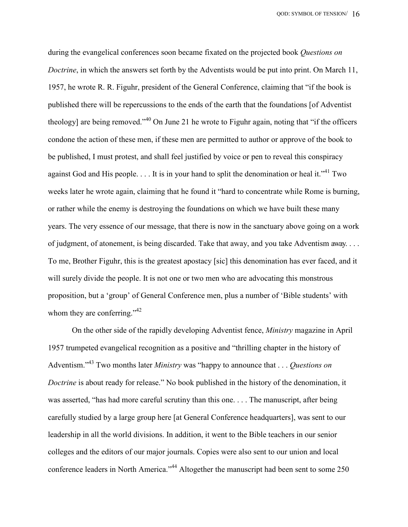during the evangelical conferences soon became fixated on the projected book *Questions on* Doctrine, in which the answers set forth by the Adventists would be put into print. On March 11, 1957, he wrote R. R. Figuhr, president of the General Conference, claiming that "if the book is published there will be repercussions to the ends of the earth that the foundations [of Adventist theology] are being removed.<sup>1,40</sup> On June 21 he wrote to Figuhr again, noting that "if the officers" condone the action of these men, if these men are permitted to author or approve of the book to be published, I must protest, and shall feel justified by voice or pen to reveal this conspiracy against God and His people.  $\dots$  It is in your hand to split the denomination or heal it.<sup> $1/41$ </sup> Two weeks later he wrote again, claiming that he found it "hard to concentrate while Rome is burning, or rather while the enemy is destroying the foundations on which we have built these many years. The very essence of our message, that there is now in the sanctuary above going on a work of judgment, of atonement, is being discarded. Take that away, and you take Adventism away. . . . To me, Brother Figuhr, this is the greatest apostacy [sic] this denomination has ever faced, and it will surely divide the people. It is not one or two men who are advocating this monstrous proposition, but a 'group' of General Conference men, plus a number of 'Bible students' with whom they are conferring."<sup>42</sup>

 On the other side of the rapidly developing Adventist fence, Ministry magazine in April 1957 trumpeted evangelical recognition as a positive and "thrilling chapter in the history of Adventism.<sup> $343$ </sup> Two months later *Ministry* was "happy to announce that  $\ldots$  *Questions on* Doctrine is about ready for release." No book published in the history of the denomination, it was asserted, "has had more careful scrutiny than this one. . . . The manuscript, after being carefully studied by a large group here [at General Conference headquarters], was sent to our leadership in all the world divisions. In addition, it went to the Bible teachers in our senior colleges and the editors of our major journals. Copies were also sent to our union and local conference leaders in North America."<sup>44</sup> Altogether the manuscript had been sent to some 250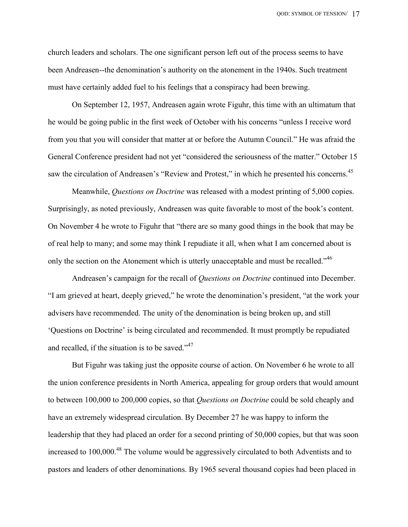church leaders and scholars. The one significant person left out of the process seems to have been Andreasen--the denomination's authority on the atonement in the 1940s. Such treatment must have certainly added fuel to his feelings that a conspiracy had been brewing.

 On September 12, 1957, Andreasen again wrote Figuhr, this time with an ultimatum that he would be going public in the first week of October with his concerns "unless I receive word from you that you will consider that matter at or before the Autumn Council." He was afraid the General Conference president had not yet "considered the seriousness of the matter." October 15 saw the circulation of Andreasen's "Review and Protest," in which he presented his concerns.<sup>45</sup>

Meanwhile, *Questions on Doctrine* was released with a modest printing of 5,000 copies. Surprisingly, as noted previously, Andreasen was quite favorable to most of the book's content. On November 4 he wrote to Figuhr that "there are so many good things in the book that may be of real help to many; and some may think I repudiate it all, when what I am concerned about is only the section on the Atonement which is utterly unacceptable and must be recalled."<sup>46</sup>

Andreasen's campaign for the recall of *Questions on Doctrine* continued into December. "I am grieved at heart, deeply grieved," he wrote the denomination's president, "at the work your advisers have recommended. The unity of the denomination is being broken up, and still 'Questions on Doctrine' is being circulated and recommended. It must promptly be repudiated and recalled, if the situation is to be saved." $47$ 

 But Figuhr was taking just the opposite course of action. On November 6 he wrote to all the union conference presidents in North America, appealing for group orders that would amount to between 100,000 to 200,000 copies, so that *Ouestions on Doctrine* could be sold cheaply and have an extremely widespread circulation. By December 27 he was happy to inform the leadership that they had placed an order for a second printing of 50,000 copies, but that was soon increased to 100,000.<sup>48</sup> The volume would be aggressively circulated to both Adventists and to pastors and leaders of other denominations. By 1965 several thousand copies had been placed in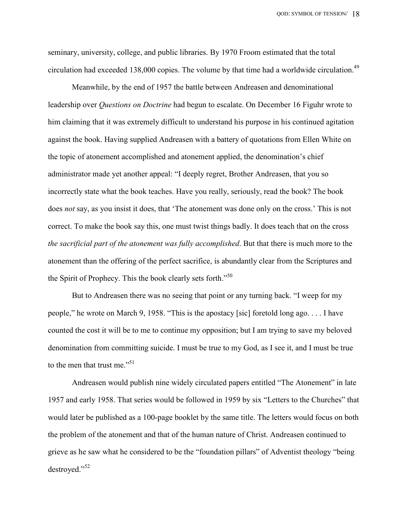seminary, university, college, and public libraries. By 1970 Froom estimated that the total circulation had exceeded 138,000 copies. The volume by that time had a worldwide circulation.<sup>49</sup>

 Meanwhile, by the end of 1957 the battle between Andreasen and denominational leadership over Questions on Doctrine had begun to escalate. On December 16 Figuhr wrote to him claiming that it was extremely difficult to understand his purpose in his continued agitation against the book. Having supplied Andreasen with a battery of quotations from Ellen White on the topic of atonement accomplished and atonement applied, the denomination's chief administrator made yet another appeal: "I deeply regret, Brother Andreasen, that you so incorrectly state what the book teaches. Have you really, seriously, read the book? The book does not say, as you insist it does, that 'The atonement was done only on the cross.' This is not correct. To make the book say this, one must twist things badly. It does teach that on the cross the sacrificial part of the atonement was fully accomplished. But that there is much more to the atonement than the offering of the perfect sacrifice, is abundantly clear from the Scriptures and the Spirit of Prophecy. This the book clearly sets forth.<sup>550</sup>

 But to Andreasen there was no seeing that point or any turning back. "I weep for my people," he wrote on March 9, 1958. "This is the apostacy [sic] foretold long ago. . . . I have counted the cost it will be to me to continue my opposition; but I am trying to save my beloved denomination from committing suicide. I must be true to my God, as I see it, and I must be true to the men that trust me."<sup>51</sup>

 Andreasen would publish nine widely circulated papers entitled "The Atonement" in late 1957 and early 1958. That series would be followed in 1959 by six "Letters to the Churches" that would later be published as a 100-page booklet by the same title. The letters would focus on both the problem of the atonement and that of the human nature of Christ. Andreasen continued to grieve as he saw what he considered to be the "foundation pillars" of Adventist theology "being destroyed."<sup>52</sup>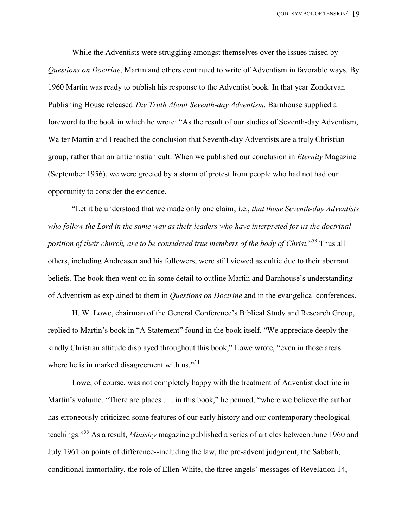While the Adventists were struggling amongst themselves over the issues raised by Questions on Doctrine, Martin and others continued to write of Adventism in favorable ways. By 1960 Martin was ready to publish his response to the Adventist book. In that year Zondervan Publishing House released The Truth About Seventh-day Adventism. Barnhouse supplied a foreword to the book in which he wrote: "As the result of our studies of Seventh-day Adventism, Walter Martin and I reached the conclusion that Seventh-day Adventists are a truly Christian group, rather than an antichristian cult. When we published our conclusion in Eternity Magazine (September 1956), we were greeted by a storm of protest from people who had not had our opportunity to consider the evidence.

 "Let it be understood that we made only one claim; i.e., that those Seventh-day Adventists who follow the Lord in the same way as their leaders who have interpreted for us the doctrinal position of their church, are to be considered true members of the body of Christ."<sup>53</sup> Thus all others, including Andreasen and his followers, were still viewed as cultic due to their aberrant beliefs. The book then went on in some detail to outline Martin and Barnhouse's understanding of Adventism as explained to them in Questions on Doctrine and in the evangelical conferences.

 H. W. Lowe, chairman of the General Conference's Biblical Study and Research Group, replied to Martin's book in "A Statement" found in the book itself. "We appreciate deeply the kindly Christian attitude displayed throughout this book," Lowe wrote, "even in those areas where he is in marked disagreement with us. $^{554}$ 

 Lowe, of course, was not completely happy with the treatment of Adventist doctrine in Martin's volume. "There are places . . . in this book," he penned, "where we believe the author has erroneously criticized some features of our early history and our contemporary theological teachings."<sup>55</sup> As a result, Ministry magazine published a series of articles between June 1960 and July 1961 on points of difference--including the law, the pre-advent judgment, the Sabbath, conditional immortality, the role of Ellen White, the three angels' messages of Revelation 14,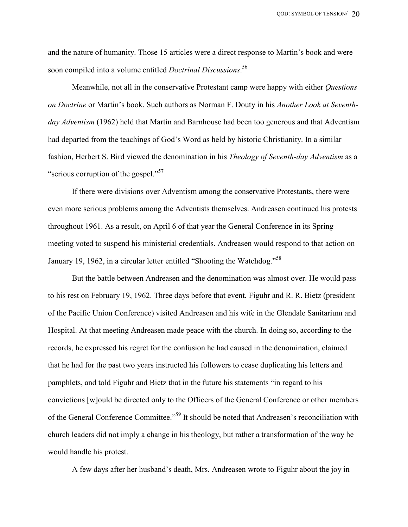and the nature of humanity. Those 15 articles were a direct response to Martin's book and were soon compiled into a volume entitled *Doctrinal Discussions*.<sup>56</sup>

Meanwhile, not all in the conservative Protestant camp were happy with either Questions on Doctrine or Martin's book. Such authors as Norman F. Douty in his Another Look at Seventhday Adventism (1962) held that Martin and Barnhouse had been too generous and that Adventism had departed from the teachings of God's Word as held by historic Christianity. In a similar fashion, Herbert S. Bird viewed the denomination in his *Theology of Seventh-day Adventism* as a "serious corruption of the gospel."<sup>57</sup>

 If there were divisions over Adventism among the conservative Protestants, there were even more serious problems among the Adventists themselves. Andreasen continued his protests throughout 1961. As a result, on April 6 of that year the General Conference in its Spring meeting voted to suspend his ministerial credentials. Andreasen would respond to that action on January 19, 1962, in a circular letter entitled "Shooting the Watchdog."<sup>58</sup>

 But the battle between Andreasen and the denomination was almost over. He would pass to his rest on February 19, 1962. Three days before that event, Figuhr and R. R. Bietz (president of the Pacific Union Conference) visited Andreasen and his wife in the Glendale Sanitarium and Hospital. At that meeting Andreasen made peace with the church. In doing so, according to the records, he expressed his regret for the confusion he had caused in the denomination, claimed that he had for the past two years instructed his followers to cease duplicating his letters and pamphlets, and told Figuhr and Bietz that in the future his statements "in regard to his convictions [w]ould be directed only to the Officers of the General Conference or other members of the General Conference Committee."<sup>59</sup> It should be noted that Andreasen's reconciliation with church leaders did not imply a change in his theology, but rather a transformation of the way he would handle his protest.

A few days after her husband's death, Mrs. Andreasen wrote to Figuhr about the joy in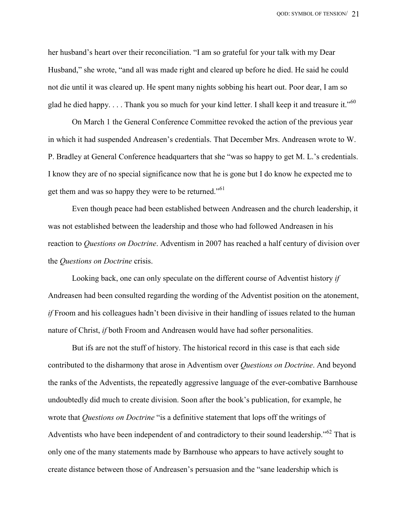her husband's heart over their reconciliation. "I am so grateful for your talk with my Dear Husband," she wrote, "and all was made right and cleared up before he died. He said he could not die until it was cleared up. He spent many nights sobbing his heart out. Poor dear, I am so glad he died happy. . . . Thank you so much for your kind letter. I shall keep it and treasure it."<sup>60</sup>

 On March 1 the General Conference Committee revoked the action of the previous year in which it had suspended Andreasen's credentials. That December Mrs. Andreasen wrote to W. P. Bradley at General Conference headquarters that she "was so happy to get M. L.'s credentials. I know they are of no special significance now that he is gone but I do know he expected me to get them and was so happy they were to be returned."<sup>61</sup>

 Even though peace had been established between Andreasen and the church leadership, it was not established between the leadership and those who had followed Andreasen in his reaction to Questions on Doctrine. Adventism in 2007 has reached a half century of division over the Questions on Doctrine crisis.

 Looking back, one can only speculate on the different course of Adventist history if Andreasen had been consulted regarding the wording of the Adventist position on the atonement, if Froom and his colleagues hadn't been divisive in their handling of issues related to the human nature of Christ, if both Froom and Andreasen would have had softer personalities.

 But ifs are not the stuff of history. The historical record in this case is that each side contributed to the disharmony that arose in Adventism over *Questions on Doctrine*. And beyond the ranks of the Adventists, the repeatedly aggressive language of the ever-combative Barnhouse undoubtedly did much to create division. Soon after the book's publication, for example, he wrote that Questions on Doctrine "is a definitive statement that lops off the writings of Adventists who have been independent of and contradictory to their sound leadership."<sup>62</sup> That is only one of the many statements made by Barnhouse who appears to have actively sought to create distance between those of Andreasen's persuasion and the "sane leadership which is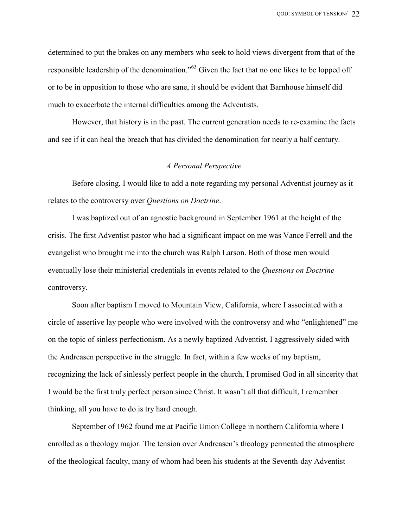determined to put the brakes on any members who seek to hold views divergent from that of the responsible leadership of the denomination."<sup>63</sup> Given the fact that no one likes to be lopped off or to be in opposition to those who are sane, it should be evident that Barnhouse himself did much to exacerbate the internal difficulties among the Adventists.

 However, that history is in the past. The current generation needs to re-examine the facts and see if it can heal the breach that has divided the denomination for nearly a half century.

### A Personal Perspective

 Before closing, I would like to add a note regarding my personal Adventist journey as it relates to the controversy over Questions on Doctrine.

 I was baptized out of an agnostic background in September 1961 at the height of the crisis. The first Adventist pastor who had a significant impact on me was Vance Ferrell and the evangelist who brought me into the church was Ralph Larson. Both of those men would eventually lose their ministerial credentials in events related to the Questions on Doctrine controversy.

 Soon after baptism I moved to Mountain View, California, where I associated with a circle of assertive lay people who were involved with the controversy and who "enlightened" me on the topic of sinless perfectionism. As a newly baptized Adventist, I aggressively sided with the Andreasen perspective in the struggle. In fact, within a few weeks of my baptism, recognizing the lack of sinlessly perfect people in the church, I promised God in all sincerity that I would be the first truly perfect person since Christ. It wasn't all that difficult, I remember thinking, all you have to do is try hard enough.

 September of 1962 found me at Pacific Union College in northern California where I enrolled as a theology major. The tension over Andreasen's theology permeated the atmosphere of the theological faculty, many of whom had been his students at the Seventh-day Adventist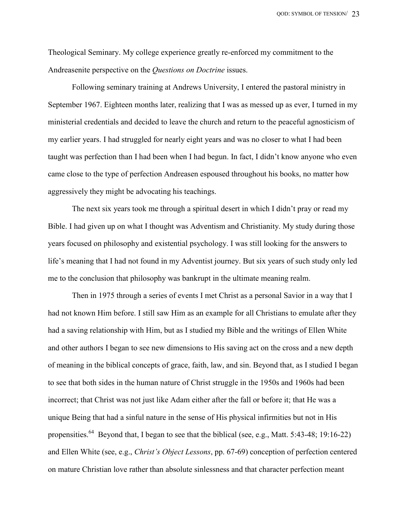QOD: SYMBOL OF TENSION/ 23

Theological Seminary. My college experience greatly re-enforced my commitment to the Andreasenite perspective on the Questions on Doctrine issues.

 Following seminary training at Andrews University, I entered the pastoral ministry in September 1967. Eighteen months later, realizing that I was as messed up as ever, I turned in my ministerial credentials and decided to leave the church and return to the peaceful agnosticism of my earlier years. I had struggled for nearly eight years and was no closer to what I had been taught was perfection than I had been when I had begun. In fact, I didn't know anyone who even came close to the type of perfection Andreasen espoused throughout his books, no matter how aggressively they might be advocating his teachings.

 The next six years took me through a spiritual desert in which I didn't pray or read my Bible. I had given up on what I thought was Adventism and Christianity. My study during those years focused on philosophy and existential psychology. I was still looking for the answers to life's meaning that I had not found in my Adventist journey. But six years of such study only led me to the conclusion that philosophy was bankrupt in the ultimate meaning realm.

 Then in 1975 through a series of events I met Christ as a personal Savior in a way that I had not known Him before. I still saw Him as an example for all Christians to emulate after they had a saving relationship with Him, but as I studied my Bible and the writings of Ellen White and other authors I began to see new dimensions to His saving act on the cross and a new depth of meaning in the biblical concepts of grace, faith, law, and sin. Beyond that, as I studied I began to see that both sides in the human nature of Christ struggle in the 1950s and 1960s had been incorrect; that Christ was not just like Adam either after the fall or before it; that He was a unique Being that had a sinful nature in the sense of His physical infirmities but not in His propensities.<sup>64</sup> Beyond that, I began to see that the biblical (see, e.g., Matt. 5:43-48; 19:16-22) and Ellen White (see, e.g., Christ's Object Lessons, pp. 67-69) conception of perfection centered on mature Christian love rather than absolute sinlessness and that character perfection meant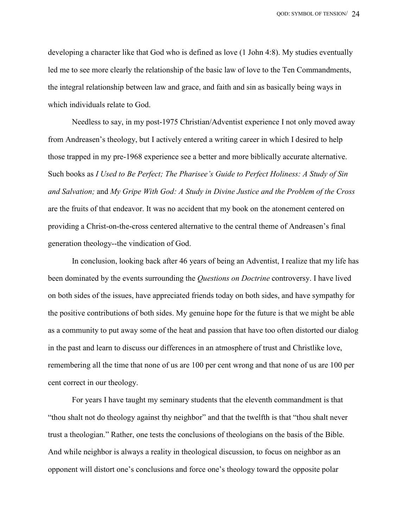developing a character like that God who is defined as love (1 John 4:8). My studies eventually led me to see more clearly the relationship of the basic law of love to the Ten Commandments, the integral relationship between law and grace, and faith and sin as basically being ways in which individuals relate to God.

 Needless to say, in my post-1975 Christian/Adventist experience I not only moved away from Andreasen's theology, but I actively entered a writing career in which I desired to help those trapped in my pre-1968 experience see a better and more biblically accurate alternative. Such books as I Used to Be Perfect; The Pharisee's Guide to Perfect Holiness: A Study of Sin and Salvation; and My Gripe With God: A Study in Divine Justice and the Problem of the Cross are the fruits of that endeavor. It was no accident that my book on the atonement centered on providing a Christ-on-the-cross centered alternative to the central theme of Andreasen's final generation theology--the vindication of God.

 In conclusion, looking back after 46 years of being an Adventist, I realize that my life has been dominated by the events surrounding the *Questions on Doctrine* controversy. I have lived on both sides of the issues, have appreciated friends today on both sides, and have sympathy for the positive contributions of both sides. My genuine hope for the future is that we might be able as a community to put away some of the heat and passion that have too often distorted our dialog in the past and learn to discuss our differences in an atmosphere of trust and Christlike love, remembering all the time that none of us are 100 per cent wrong and that none of us are 100 per cent correct in our theology.

 For years I have taught my seminary students that the eleventh commandment is that "thou shalt not do theology against thy neighbor" and that the twelfth is that "thou shalt never trust a theologian." Rather, one tests the conclusions of theologians on the basis of the Bible. And while neighbor is always a reality in theological discussion, to focus on neighbor as an opponent will distort one's conclusions and force one's theology toward the opposite polar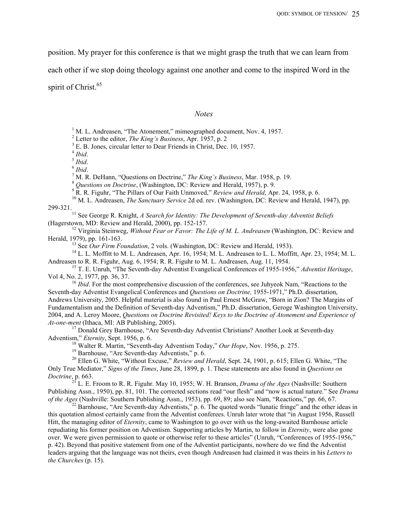position. My prayer for this conference is that we might grasp the truth that we can learn from

each other if we stop doing theology against one another and come to the inspired Word in the

spirit of Christ.<sup>65</sup>

#### **Notes**

<sup>1</sup> M. L. Andreasen, "The Atonement," mimeographed document, Nov. 4, 1957.

<sup>2</sup> Letter to the editor, *The King's Business*, Apr. 1957, p. 2

<sup>3</sup> E. B. Jones, circular letter to Dear Friends in Christ, Dec. 10, 1957.

 $<sup>4</sup> Ibid.$ </sup>

 $<sup>5</sup>$  Ibid.</sup>

 $^6$  Ibid.

7 M. R. DeHann, "Questions on Doctrine," The King's Business, Mar. 1958, p. 19.

<sup>8</sup> Questions on Doctrine, (Washington, DC: Review and Herald, 1957), p. 9.

<sup>9</sup> R. R. Figuhr, "The Pillars of Our Faith Unmoved," Review and Herald, Apr. 24, 1958, p. 6.

<sup>10</sup> M. L. Andreasen, *The Sanctuary Service* 2d ed. rev. (Washington, DC: Review and Herald, 1947), pp. 299-321.

 $11$  See George R. Knight, A Search for Identity: The Development of Seventh-day Adventist Beliefs (Hagerstown, MD: Review and Herald, 2000), pp. 152-157.

<sup>12</sup> Virginia Steinweg, *Without Fear or Favor: The Life of M. L. Andreasen* (Washington, DC: Review and Herald, 1979), pp. 161-163.

 $13$  See Our Firm Foundation, 2 vols. (Washington, DC: Review and Herald, 1953).

 $^{14}$  L. L. Moffitt to M. L. Andreasen, Apr. 16, 1954; M. L. Andreasen to L. L. Moffitt, Apr. 23, 1954; M. L. Andreasen to R. R. Figuhr, Aug. 6, 1954; R. R. Figuhr to M. L. Andreasen, Aug. 11, 1954.

<sup>15</sup> T. E. Unruh, "The Seventh-day Adventist Evangelical Conferences of 1955-1956," *Adventist Heritage*, Vol 4, No. 2, 1977, pp. 36, 37.

<sup>16</sup> Ibid. For the most comprehensive discussion of the conferences, see Juhyeok Nam, "Reactions to the Seventh-day Adventist Evangelical Conferences and Questions on Doctrine, 1955-1971," Ph.D. dissertation, Andrews University, 2005. Helpful material is also found in Paul Ernest McGraw, "Born in Zion? The Margins of Fundamentalism and the Definition of Seventh-day Adventism," Ph.D. dissertation, Geroge Washington University, 2004, and A. Leroy Moore, Questions on Doctrine Revisited! Keys to the Doctrine of Atonement and Experience of At-one-ment (Ithaca, MI: AB Publishing, 2005).

<sup>17</sup> Donald Grey Barnhouse, "Are Seventh-day Adventist Christians? Another Look at Seventh-day Adventism," Eternity, Sept. 1956, p. 6.

 $^{18}$  Walter R. Martin, "Seventh-day Adventism Today," Our Hope, Nov. 1956, p. 275.

<sup>19</sup> Barnhouse, "Are Seventh-day Adventists," p. 6.

<sup>20</sup> Ellen G. White, "Without Excuse," Review and Herald, Sept. 24, 1901, p. 615; Ellen G. White, "The Only True Mediator," Signs of the Times, June 28, 1899, p. 1. These statements are also found in Questions on Doctrine, p. 663.

<sup>21</sup> L. E. Froom to R. R. Figuhr. May 10, 1955; W. H. Branson, *Drama of the Ages* (Nashville: Southern Publishing Assn., 1950), pp. 81, 101. The corrected sections read "our flesh" and "now is actual nature." See *Drama* of the Ages (Nashville: Southern Publishing Assn., 1953), pp. 69, 89; also see Nam, "Reactions," pp. 66, 67.

 $^{22}$  Barnhouse, "Are Seventh-day Adventists," p. 6. The quoted words "lunatic fringe" and the other ideas in this quotation almost certainly came from the Adventist conferees. Unruh later wrote that "in August 1956, Russell Hitt, the managing editor of *Eternity*, came to Washington to go over with us the long-awaited Barnhouse article repudiating his former position on Adventism. Supporting articles by Martin, to follow in *Eternity*, were also gone over. We were given permission to quote or otherwise refer to these articles" (Unruh, "Conferences of 1955-1956," p. 42). Beyond that positive statement from one of the Adventist participants, nowhere do we find the Adventist leaders arguing that the language was not theirs, even though Andreasen had claimed it was theirs in his Letters to the Churches (p. 15).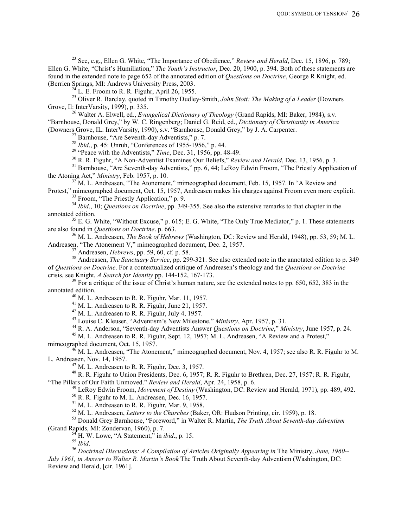<sup>23</sup> See, e.g., Ellen G. White, "The Importance of Obedience," Review and Herald, Dec. 15, 1896, p. 789; Ellen G. White, "Christ's Humiliation," The Youth's Instructor, Dec. 20, 1900, p. 394. Both of these statements are found in the extended note to page 652 of the annotated edition of Questions on Doctrine, George R Knight, ed. (Berrien Springs, MI: Andrews University Press, 2003.

 $^{24}$  L. E. Froom to R. R. Figuhr, April 26, 1955.

<sup>25</sup> Oliver R. Barclay, quoted in Timothy Dudley-Smith, John Stott: The Making of a Leader (Downers Grove, Il: InterVarsity, 1999), p. 335.

<sup>26</sup> Walter A. Elwell, ed., *Evangelical Dictionary of Theology* (Grand Rapids, MI: Baker, 1984), s.v. "Barnhouse, Donald Grey," by W. C. Ringenberg; Daniel G. Reid, ed., Dictionary of Christianity in America (Downers Grove, IL: InterVarsity, 1990), s.v. "Barnhouse, Donald Grey," by J. A. Carpenter.

 $27$  Barnhouse, "Are Seventh-day Adventists," p. 7.

<sup>28</sup> Ibid., p. 45: Unruh, "Conferences of 1955-1956," p. 44.

<sup>29</sup> "Peace with the Adventists," *Time*, Dec. 31, 1956, pp. 48-49.

<sup>30</sup> R. R. Figuhr, "A Non-Adventist Examines Our Beliefs," Review and Herald, Dec. 13, 1956, p. 3.

<sup>31</sup> Barnhouse, "Are Seventh-day Adventists," pp. 6, 44; LeRoy Edwin Froom, "The Priestly Application of the Atoning Act," Ministry, Feb. 1957, p. 10.

<sup>32</sup> M. L. Andreasen, "The Atonement," mimeographed document, Feb. 15, 1957. In "A Review and

Protest," mimeographed document, Oct. 15, 1957, Andreasen makes his charges against Froom even more explicit. <sup>33</sup> Froom, "The Priestly Application," p. 9.

 $34$  Ibid., 10; Questions on Doctrine, pp. 349-355. See also the extensive remarks to that chapter in the annotated edition.

 $35$  E. G. White, "Without Excuse," p. 615; E. G. White, "The Only True Mediator," p. 1. These statements are also found in Questions on Doctrine. p. 663.

 $36$  M. L. Andreasen, *The Book of Hebrews* (Washington, DC: Review and Herald, 1948), pp. 53, 59; M. L. Andreasen, "The Atonement V," mimeographed document, Dec. 2, 1957.

 $37$  Andreasen, *Hebrews*, pp. 59, 60, cf. p. 58.

<sup>38</sup> Andreasen, *The Sanctuary Service*, pp. 299-321. See also extended note in the annotated edition to p. 349 of Questions on Doctrine. For a contextualized critique of Andreasen's theology and the Questions on Doctrine crisis, see Knight, A Search for Identity pp. 144-152, 167-173.

 $39$  For a critique of the issue of Christ's human nature, see the extended notes to pp. 650, 652, 383 in the annotated edition.

 $^{40}$  M. L. Andreasen to R. R. Figuhr, Mar. 11, 1957.

<sup>41</sup> M. L. Andreasen to R. R. Figuhr, June 21, 1957.

<sup>42</sup> M. L. Andreasen to R. R. Figuhr, July 4, 1957.

<sup>43</sup> Louise C. Kleuser, "Adventism's New Milestone," *Ministry*, Apr. 1957, p. 31.

<sup>44</sup> R. A. Anderson, "Seventh-day Adventists Answer Questions on Doctrine," Ministry, June 1957, p. 24.

<sup>45</sup> M. L. Andreasen to R. R. Figuhr, Sept. 12, 1957; M. L. Andreasen, "A Review and a Protest," mimeographed document, Oct. 15, 1957.

 $^{6}$  M. L. Andreasen, "The Atonement," mimeographed document, Nov. 4, 1957; see also R. R. Figuhr to M. L. Andreasen, Nov. 14, 1957.

 $^{47}$  M. L. Andreasen to R. R. Figuhr, Dec. 3, 1957.

<sup>48</sup> R. R. Figuhr to Union Presidents, Dec. 6, 1957; R. R. Figuhr to Brethren, Dec. 27, 1957; R. R. Figuhr, "The Pillars of Our Faith Unmoved." Review and Herald, Apr. 24, 1958, p. 6.

 $^{49}$  LeRoy Edwin Froom, *Movement of Destiny* (Washington, DC: Review and Herald, 1971), pp. 489, 492.

 $50$  R. R. Figuhr to M. L. Andreasen, Dec. 16, 1957.

 $<sup>51</sup>$  M. L. Andreasen to R. R. Figuhr, Mar. 9, 1958.</sup>

 $52$  M. L. Andreasen, Letters to the Churches (Baker, OR: Hudson Printing, cir. 1959), p. 18.

<sup>53</sup> Donald Grey Barnhouse, "Foreword," in Walter R. Martin, The Truth About Seventh-day Adventism (Grand Rapids, MI: Zondervan, 1960), p. 7.

 $^{54}$  H. W. Lowe, "A Statement," in *ibid.*, p. 15.

 $^{55}$  Ibid.

<sup>56</sup> Doctrinal Discussions: A Compilation of Articles Originally Appearing in The Ministry, June, 1960-- July 1961, in Answer to Walter R. Martin's Book The Truth About Seventh-day Adventism (Washington, DC: Review and Herald, [cir. 1961].